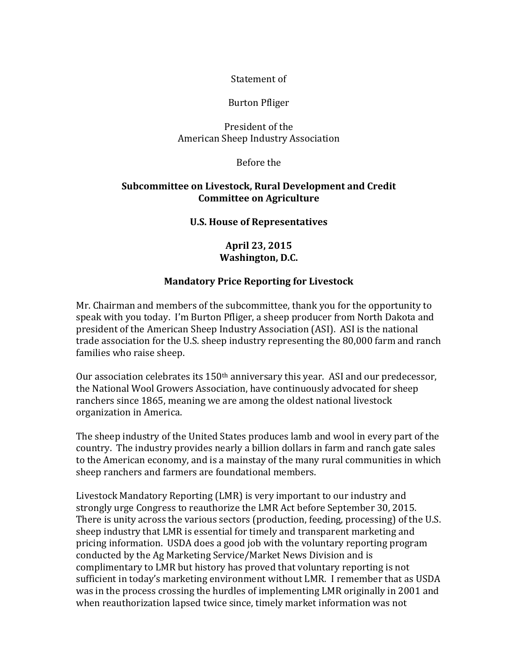## Statement of

#### Burton Pfliger

## President of the American Sheep Industry Association

#### Before the

## **Subcommittee on Livestock, Rural Development and Credit Committee on Agriculture**

#### **U.S. House of Representatives**

## **April 23, 2015 Washington, D.C.**

# **Mandatory Price Reporting for Livestock**

Mr. Chairman and members of the subcommittee, thank you for the opportunity to speak with you today. I'm Burton Pfliger, a sheep producer from North Dakota and president of the American Sheep Industry Association (ASI). ASI is the national trade association for the U.S. sheep industry representing the 80,000 farm and ranch families who raise sheep.

Our association celebrates its 150th anniversary this year. ASI and our predecessor, the National Wool Growers Association, have continuously advocated for sheep ranchers since 1865, meaning we are among the oldest national livestock organization in America.

The sheep industry of the United States produces lamb and wool in every part of the country. The industry provides nearly a billion dollars in farm and ranch gate sales to the American economy, and is a mainstay of the many rural communities in which sheep ranchers and farmers are foundational members.

Livestock Mandatory Reporting (LMR) is very important to our industry and strongly urge Congress to reauthorize the LMR Act before September 30, 2015. There is unity across the various sectors (production, feeding, processing) of the U.S. sheep industry that LMR is essential for timely and transparent marketing and pricing information. USDA does a good job with the voluntary reporting program conducted by the Ag Marketing Service/Market News Division and is complimentary to LMR but history has proved that voluntary reporting is not sufficient in today's marketing environment without LMR. I remember that as USDA was in the process crossing the hurdles of implementing LMR originally in 2001 and when reauthorization lapsed twice since, timely market information was not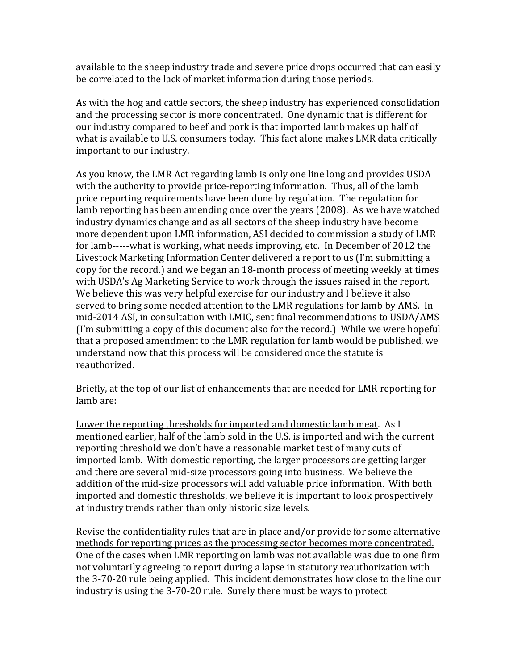available to the sheep industry trade and severe price drops occurred that can easily be correlated to the lack of market information during those periods.

As with the hog and cattle sectors, the sheep industry has experienced consolidation and the processing sector is more concentrated. One dynamic that is different for our industry compared to beef and pork is that imported lamb makes up half of what is available to U.S. consumers today. This fact alone makes LMR data critically important to our industry.

As you know, the LMR Act regarding lamb is only one line long and provides USDA with the authority to provide price-reporting information. Thus, all of the lamb price reporting requirements have been done by regulation. The regulation for lamb reporting has been amending once over the years (2008). As we have watched industry dynamics change and as all sectors of the sheep industry have become more dependent upon LMR information, ASI decided to commission a study of LMR for lamb-----what is working, what needs improving, etc. In December of 2012 the Livestock Marketing Information Center delivered a report to us (I'm submitting a copy for the record.) and we began an 18-month process of meeting weekly at times with USDA's Ag Marketing Service to work through the issues raised in the report. We believe this was very helpful exercise for our industry and I believe it also served to bring some needed attention to the LMR regulations for lamb by AMS. In mid-2014 ASI, in consultation with LMIC, sent final recommendations to USDA/AMS (I'm submitting a copy of this document also for the record.) While we were hopeful that a proposed amendment to the LMR regulation for lamb would be published, we understand now that this process will be considered once the statute is reauthorized.

Briefly, at the top of our list of enhancements that are needed for LMR reporting for lamb are:

Lower the reporting thresholds for imported and domestic lamb meat. As I mentioned earlier, half of the lamb sold in the U.S. is imported and with the current reporting threshold we don't have a reasonable market test of many cuts of imported lamb. With domestic reporting, the larger processors are getting larger and there are several mid-size processors going into business. We believe the addition of the mid-size processors will add valuable price information. With both imported and domestic thresholds, we believe it is important to look prospectively at industry trends rather than only historic size levels.

Revise the confidentiality rules that are in place and/or provide for some alternative methods for reporting prices as the processing sector becomes more concentrated. One of the cases when LMR reporting on lamb was not available was due to one firm not voluntarily agreeing to report during a lapse in statutory reauthorization with the 3-70-20 rule being applied. This incident demonstrates how close to the line our industry is using the 3-70-20 rule. Surely there must be ways to protect